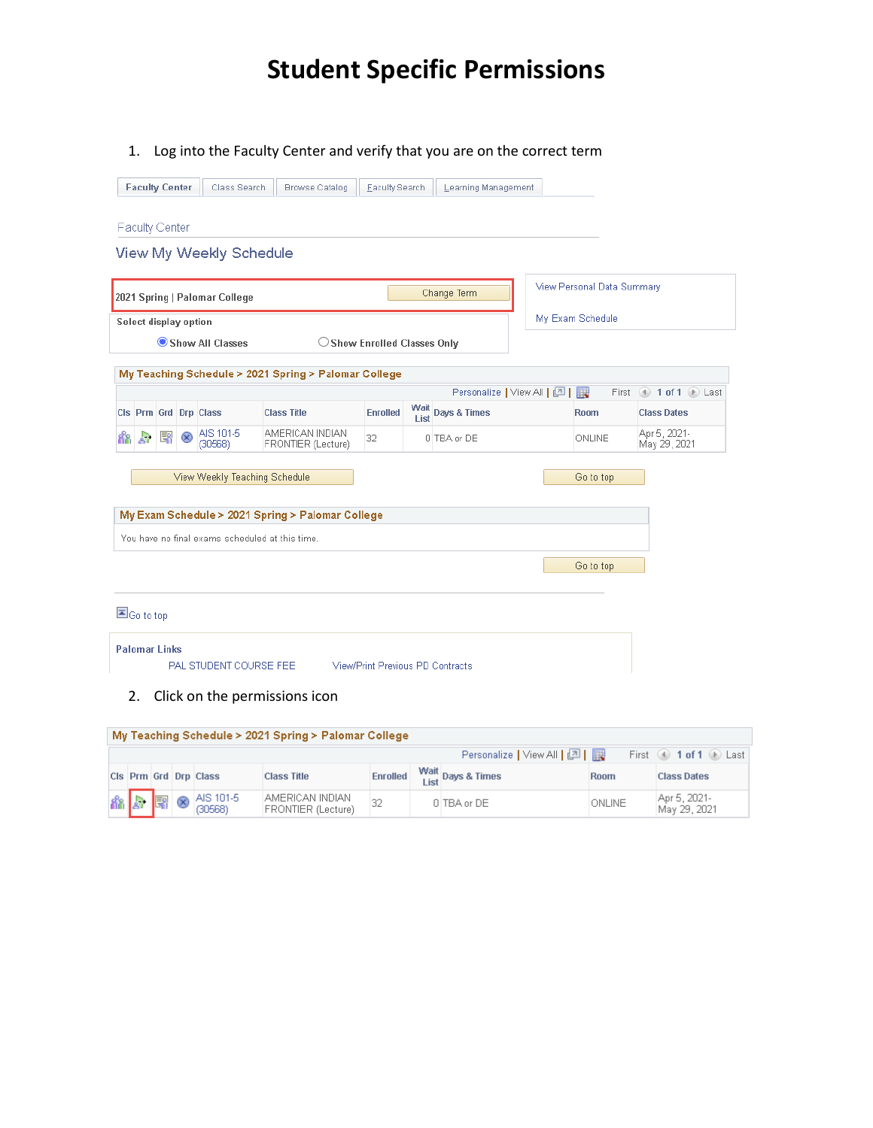## **Student Specific Permissions**

1. Log into the Faculty Center and verify that you are on the correct term

|    |              | <b>Faculty Center</b>    |           | Class Search                   | <b>Browse Catalog</b>                                | Faculty Search                        |      | Learning Management        |                            |                              |
|----|--------------|--------------------------|-----------|--------------------------------|------------------------------------------------------|---------------------------------------|------|----------------------------|----------------------------|------------------------------|
|    |              | <b>Faculty Center</b>    |           |                                |                                                      |                                       |      |                            |                            |                              |
|    |              |                          |           | <b>View My Weekly Schedule</b> |                                                      |                                       |      |                            |                            |                              |
|    |              |                          |           | 2021 Spring   Palomar College  |                                                      |                                       |      | Change Term                | View Personal Data Summary |                              |
|    |              | Select display option    |           |                                |                                                      |                                       |      |                            | My Exam Schedule           |                              |
|    |              |                          |           | Show All Classes               |                                                      | $\bigcirc$ Show Enrolled Classes Only |      |                            |                            |                              |
|    |              |                          |           |                                | My Teaching Schedule > 2021 Spring > Palomar College |                                       |      |                            |                            |                              |
|    |              |                          |           |                                |                                                      |                                       |      | Personalize   View All   四 |                            | First 1 of 1 D Last          |
|    |              |                          |           | Cls Prm Grd Drp Class          | <b>Class Title</b><br>AMERICAN INDIAN                | <b>Enrolled</b>                       | List | Wait Days & Times          | <b>Room</b>                | <b>Class Dates</b>           |
| ቭሽ | $\mathbf{A}$ | 톽                        | $\propto$ | AIS 101-5<br>(30568)           | FRONTIER (Lecture)                                   | 32                                    |      | 0 TBA or DE                | ONLINE                     | Apr 5, 2021-<br>May 29, 2021 |
|    |              |                          |           | View Weekly Teaching Schedule  |                                                      |                                       |      |                            | Go to top                  |                              |
|    |              |                          |           |                                | My Exam Schedule > 2021 Spring > Palomar College     |                                       |      |                            |                            |                              |
|    |              |                          |           |                                | You have no final exams scheduled at this time.      |                                       |      |                            |                            |                              |
|    |              |                          |           |                                |                                                      |                                       |      |                            | Go to top                  |                              |
|    |              | $\blacksquare$ Go to top |           |                                |                                                      |                                       |      |                            |                            |                              |
|    |              | <b>Palomar Links</b>     |           | PAL STUDENT COURSE FEE         |                                                      | View/Print Previous PD Contracts      |      |                            |                            |                              |
|    | 2.           |                          |           |                                | Click on the permissions icon                        |                                       |      |                            |                            |                              |

| My Teaching Schedule > 2021 Spring > Palomar College |  |  |                             |                                       |    |  |                             |               |                              |  |  |  |  |
|------------------------------------------------------|--|--|-----------------------------|---------------------------------------|----|--|-----------------------------|---------------|------------------------------|--|--|--|--|
|                                                      |  |  |                             |                                       |    |  | Personalize   View All   [기 |               | First 1 of 1 D Last          |  |  |  |  |
|                                                      |  |  | Cls Prm Grd Drp Class       | <b>Class Title</b>                    |    |  | Enrolled Wait Days & Times  | Room          | <b>Class Dates</b>           |  |  |  |  |
|                                                      |  |  | <mark>命</mark> 身 ■ ⊗ 20568) | AMERICAN INDIAN<br>FRONTIER (Lecture) | 32 |  | 0 TBA or DE                 | <b>ONLINE</b> | Apr 5, 2021-<br>May 29, 2021 |  |  |  |  |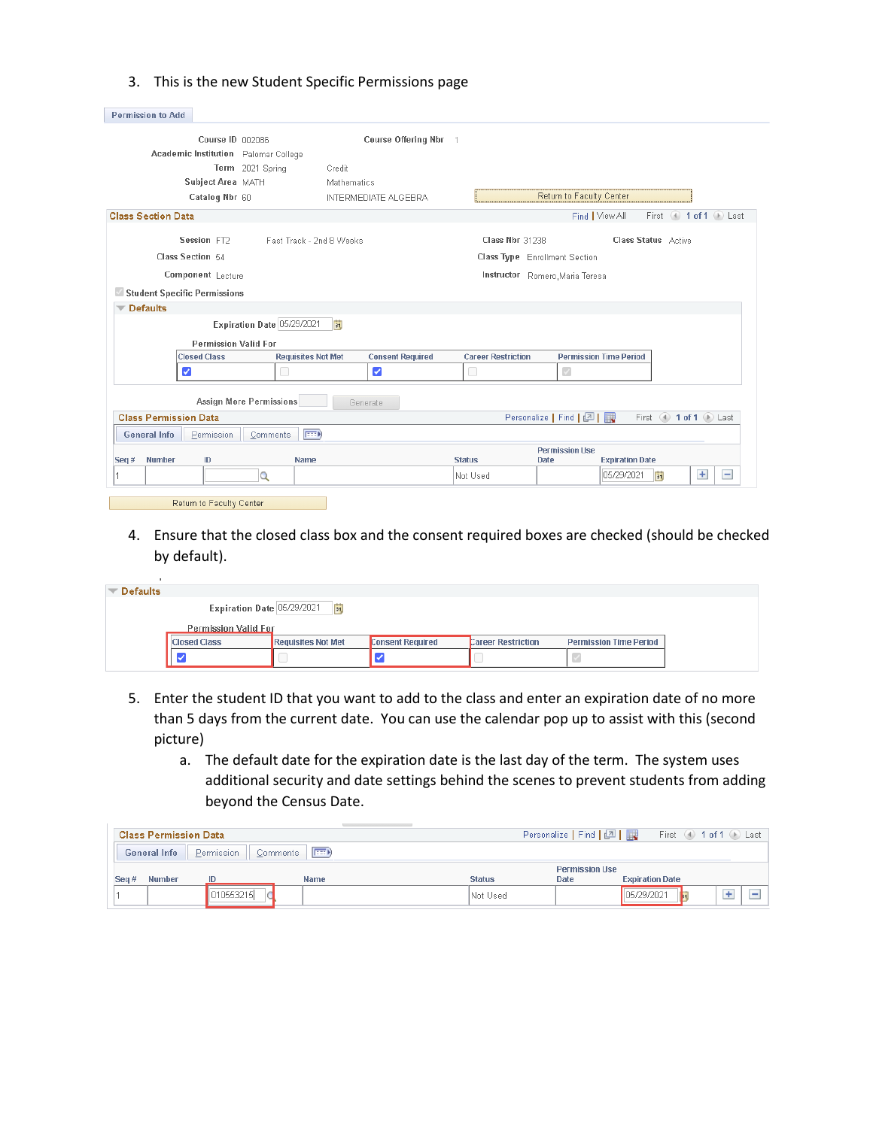|  |  |  |  | 3. This is the new Student Specific Permissions page |
|--|--|--|--|------------------------------------------------------|
|--|--|--|--|------------------------------------------------------|

| <b>Permission to Add</b>             |                                                        |                         |                           |                                      |                               |                     |                                         |
|--------------------------------------|--------------------------------------------------------|-------------------------|---------------------------|--------------------------------------|-------------------------------|---------------------|-----------------------------------------|
|                                      | Course ID 002086                                       | Course Offering Nbr 1   |                           |                                      |                               |                     |                                         |
| Academic Institution Palomar College |                                                        |                         |                           |                                      |                               |                     |                                         |
|                                      | Term 2021 Spring<br>Credit                             |                         |                           |                                      |                               |                     |                                         |
| Subject Area MATH                    |                                                        | Mathematics             |                           |                                      |                               |                     |                                         |
| Catalog Nbr 60                       |                                                        | INTERMEDIATE ALGEBRA    |                           | Return to Faculty Center             |                               |                     |                                         |
| <b>Class Section Data</b>            |                                                        |                         |                           |                                      | Find   View All               |                     | First $\bigcirc$ 1 of 1 $\bigcirc$ Last |
| Session FT2                          | Fast Track - 2nd 8 Weeks                               |                         | Class Nbr 31238           |                                      | Class Status Active           |                     |                                         |
| Class Section 54                     |                                                        |                         |                           | <b>Class Type</b> Enrollment Section |                               |                     |                                         |
| Component Lecture                    |                                                        |                         |                           | Instructor Romero, Maria Teresa      |                               |                     |                                         |
| Student Specific Permissions         |                                                        |                         |                           |                                      |                               |                     |                                         |
| <b>Defaults</b>                      |                                                        |                         |                           |                                      |                               |                     |                                         |
|                                      | Expiration Date 05/29/2021<br>$\overline{\mathbf{31}}$ |                         |                           |                                      |                               |                     |                                         |
|                                      | <b>Permission Valid For</b>                            |                         |                           |                                      |                               |                     |                                         |
| <b>Closed Class</b>                  | <b>Requisites Not Met</b>                              | <b>Consent Required</b> | <b>Career Restriction</b> |                                      | <b>Permission Time Period</b> |                     |                                         |
| $\blacktriangledown$                 | O                                                      | ✓                       | 0                         | $\mathcal{L}$                        |                               |                     |                                         |
|                                      | <b>Assign More Permissions</b>                         | Generate                |                           |                                      |                               |                     |                                         |
| <b>Class Permission Data</b>         |                                                        |                         |                           | Personalize   Find   四   眼           |                               | First 1 of 1 D Last |                                         |
| <b>General Info</b><br>Permission    | $F \rightarrow$<br>Comments                            |                         |                           |                                      |                               |                     |                                         |
| Number<br>ID<br>Seq#                 | <b>Name</b>                                            |                         | <b>Status</b>             | <b>Permission Use</b><br><b>Date</b> | <b>Expiration Date</b>        |                     |                                         |
|                                      | Q                                                      |                         | Not Used                  |                                      | 05/29/2021<br>BU              |                     | $+$<br>$\qquad \qquad -$                |
| Return to Faculty Center             |                                                        |                         |                           |                                      |                               |                     |                                         |

4. Ensure that the closed class box and the consent required boxes are checked (should be checked by default).

| <b>Defaults</b> |                             |                           |                         |                           |                               |
|-----------------|-----------------------------|---------------------------|-------------------------|---------------------------|-------------------------------|
|                 | Expiration Date 05/29/2021  | 31                        |                         |                           |                               |
|                 | <b>Permission Valid For</b> |                           |                         |                           |                               |
|                 | <b>Closed Class</b>         | <b>Requisites Not Met</b> | <b>Consent Required</b> | <b>Career Restriction</b> | <b>Permission Time Period</b> |
|                 | $\overline{\phantom{a}}$    |                           |                         |                           |                               |

- 5. Enter the student ID that you want to add to the class and enter an expiration date of no more than 5 days from the current date. You can use the calendar pop up to assist with this (second picture)
	- a. The default date for the expiration date is the last day of the term. The system uses additional security and date settings behind the scenes to prevent students from adding beyond the Census Date.

|      | <b>Class Permission Data</b> |            |                         |                 |                       | First 1 of 1 D Last    |  |
|------|------------------------------|------------|-------------------------|-----------------|-----------------------|------------------------|--|
|      | <b>General Info</b>          | Permission | <b>Exit</b><br>Comments |                 |                       |                        |  |
|      |                              |            |                         |                 | <b>Permission Use</b> |                        |  |
| Seq# | <b>Number</b>                | ID         | Name                    | <b>Status</b>   | <b>Date</b>           | <b>Expiration Date</b> |  |
|      |                              | 010553215  |                         | <b>Not Used</b> |                       | 05/29/2021             |  |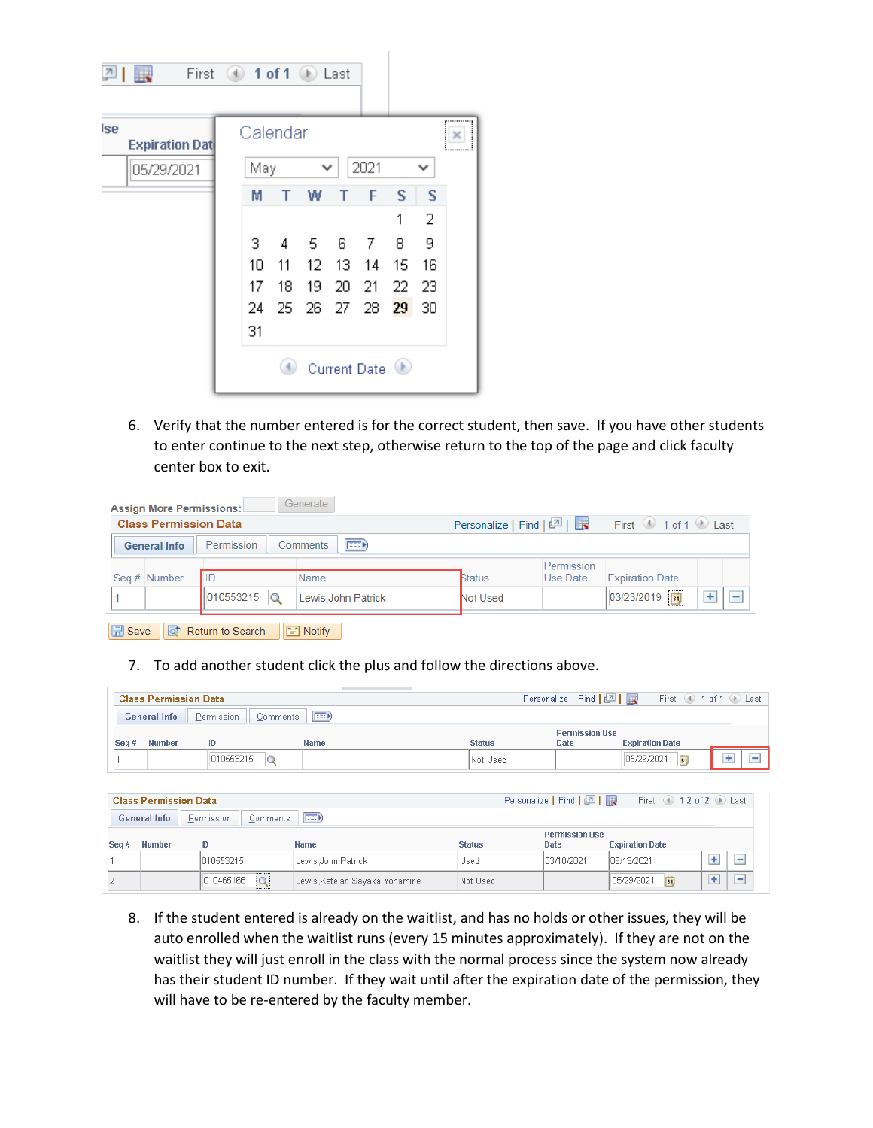| 관   | First<br>Œ.            | $\left( 4\right)$ |          |    | 1 of 1 $\circ$ Last |    |                     |    |             |   |
|-----|------------------------|-------------------|----------|----|---------------------|----|---------------------|----|-------------|---|
| lse | <b>Expiration Date</b> |                   | Calendar |    |                     |    |                     |    |             | × |
|     | 05/29/2021             |                   | May      |    | ◡                   |    | 2021                |    | $\check{ }$ |   |
|     |                        |                   | М        | т  | w                   | Т  | F                   | S  | S           |   |
|     |                        |                   |          |    |                     |    |                     | 1  | 2           |   |
|     |                        |                   | 3.       | 4  | -5                  | 6  | -7                  | 8  | 9           |   |
|     |                        |                   | 10       | 11 | 12.                 | 13 | 14                  | 15 | 16          |   |
|     |                        |                   | 17       | 18 | 19                  | 20 | -21                 | 22 | -23         |   |
|     |                        |                   | 24       |    | 25 26 27 28         |    |                     | 29 | 30          |   |
|     |                        |                   | 31       |    |                     |    |                     |    |             |   |
|     |                        |                   |          |    |                     |    | <b>Current Date</b> |    |             |   |

6. Verify that the number entered is for the correct student, then save. If you have other students to enter continue to the next step, otherwise return to the top of the page and click faculty center box to exit.

| <b>Assign More Permissions:</b> |                      | Generate                      |                                                                     |            |                        |        |
|---------------------------------|----------------------|-------------------------------|---------------------------------------------------------------------|------------|------------------------|--------|
| <b>Class Permission Data</b>    |                      |                               | Personalize   Find   2  <br>First $\bigcirc$ 1 of 1 $\bigcirc$ Last |            |                        |        |
| <b>General Info</b>             | Permission           | <b>Exp</b><br><b>Comments</b> |                                                                     |            |                        |        |
|                                 |                      |                               |                                                                     | Permission |                        |        |
| Seq # Number                    | l ID                 | Name                          | <b>Status</b>                                                       | Use Date   | <b>Expiration Date</b> |        |
|                                 | 010553215<br>$\circ$ | Lewis, John Patrick           | Not Used                                                            |            | 03/23/2019             | ٠<br>- |
|                                 |                      |                               |                                                                     |            |                        |        |

B Save | Q<sup>+</sup> Return to Search | E Notify |

## 7. To add another student click the plus and follow the directions above.

|         | <b>Class Permission Data</b> |            |                             |                 | Personalize   Find   2   2 |                        | First 4 1 of 1 D Last |  |
|---------|------------------------------|------------|-----------------------------|-----------------|----------------------------|------------------------|-----------------------|--|
|         | General Info                 | Permission | $F \rightarrow$<br>Comments |                 |                            |                        |                       |  |
|         |                              |            |                             |                 | <b>Permission Use</b>      |                        |                       |  |
| Seq $#$ | <b>Number</b>                | ID         | <b>Name</b>                 | <b>Status</b>   | <b>Date</b>                | <b>Expiration Date</b> |                       |  |
|         |                              | 010553215  |                             | <b>Not Used</b> |                            | 05/29/2021             |                       |  |

|         | <b>Class Permission Data</b> |            |          |                                |               | Personalize   Find   2 | First 12 of 2 D Last   |                               |
|---------|------------------------------|------------|----------|--------------------------------|---------------|------------------------|------------------------|-------------------------------|
|         | <b>General Info</b>          | Permission | Comments | (em)                           |               |                        |                        |                               |
|         |                              |            |          |                                |               | <b>Permission Use</b>  |                        |                               |
| Seq $#$ | <b>Number</b>                | ID         |          | <b>Name</b>                    | <b>Status</b> | Date                   | <b>Expiration Date</b> |                               |
|         |                              | 1010553215 |          | Lewis John Patrick             | Used          | 103/10/2021            | 103/13/2021            | $\overline{\phantom{a}}$      |
|         |                              | 010465166  | lQ       | Lewis, Katelan Sayaka Yonamine | Not Used      |                        | 05/29/2021<br>31       | ÷<br>$\overline{\phantom{a}}$ |

8. If the student entered is already on the waitlist, and has no holds or other issues, they will be auto enrolled when the waitlist runs (every 15 minutes approximately). If they are not on the waitlist they will just enroll in the class with the normal process since the system now already has their student ID number. If they wait until after the expiration date of the permission, they will have to be re-entered by the faculty member.